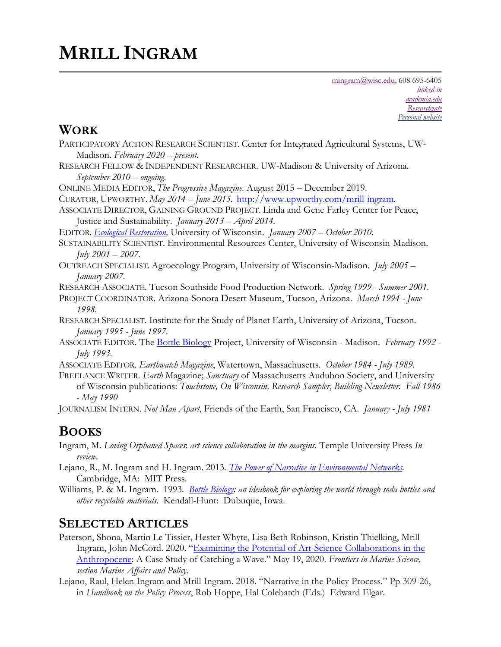# **MRILL INGRAM**

#### **WORK**

- PARTICIPATORY ACTION RESEARCH SCIENTIST. Center for Integrated Agricultural Systems, UW-Madison. *February 2020 – present.*
- RESEARCH FELLOW & INDEPENDENT RESEARCHER. UW-Madison & University of Arizona. *September 2010 – ongoing.*
- ONLINE MEDIA EDITOR, *The Progressive Magazine*. August 2015 December 2019.
- CURATOR, UPWORTHY. *May 2014 – June 2015.* http://www.upworthy.com/mrill-ingram.
- ASSOCIATE DIRECTOR, GAINING GROUND PROJECT. Linda and Gene Farley Center for Peace, Justice and Sustainability. *January 2013 – April 2014.*

EDITOR. *Ecological Restoration,* University of Wisconsin. *January 2007 – October 2010.*

- SUSTAINABILITY SCIENTIST. Environmental Resources Center, University of Wisconsin-Madison. *July 2001 – 2007.*
- OUTREACH SPECIALIST. Agroecology Program, University of Wisconsin-Madison. *July 2005 – January 2007.*

RESEARCH ASSOCIATE. Tucson Southside Food Production Network. *Spring 1999 - Summer 2001.* 

- PROJECT COORDINATOR. Arizona-Sonora Desert Museum, Tucson, Arizona. *March 1994 - June 1998.*
- RESEARCH SPECIALIST. Institute for the Study of Planet Earth, University of Arizona, Tucson. *January 1995 - June 1997*.
- ASSOCIATE EDITOR. The Bottle Biology Project, University of Wisconsin Madison. *February 1992 - July 1993*.
- ASSOCIATE EDITOR. *Earthwatch Magazine*, Watertown, Massachusetts. *October 1984 - July 1989.*
- FREELANCE WRITER. *Earth* Magazine; *Sanctuary* of Massachusetts Audubon Society, and University of Wisconsin publications: *Touchstone, On Wisconsin, Research Sampler*, *Building Newsletter*. *Fall 1986 - May 1990*

JOURNALISM INTERN. *Not Man Apart*, Friends of the Earth, San Francisco, CA. *January - July 1981*

### **BOOKS**

- Ingram, M. *Loving Orphaned Spaces*: *art science collaboration in the margins.* Temple University Press *In review.*
- Lejano, R., M. Ingram and H. Ingram. 2013*. The Power of Narrative in Environmental Networks.* Cambridge, MA: MIT Press.

Williams, P. & M. Ingram. 1993. *Bottle Biology: an ideabook for exploring the world through soda bottles and other recyclable materials*. Kendall-Hunt: Dubuque, Iowa.

## **SELECTED ARTICLES**

- Paterson, Shona, Martin Le Tissier, Hester Whyte, Lisa Beth Robinson, Kristin Thielking, Mrill Ingram, John McCord. 2020. "Examining the Potential of Art-Science Collaborations in the Anthropocene: A Case Study of Catching a Wave." May 19, 2020. *Frontiers in Marine Science, section Marine Affairs and Policy.*
- Lejano, Raul, Helen Ingram and Mrill Ingram. 2018. "Narrative in the Policy Process." Pp 309-26, in *Handbook on the Policy Process*, Rob Hoppe, Hal Colebatch (Eds.) Edward Elgar.